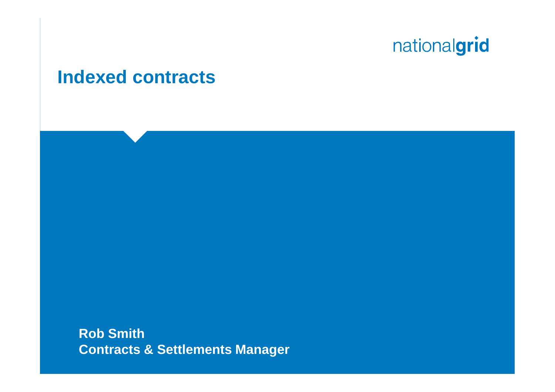#### **Indexed contracts**

**Rob Smith Contracts & Settlements Manager**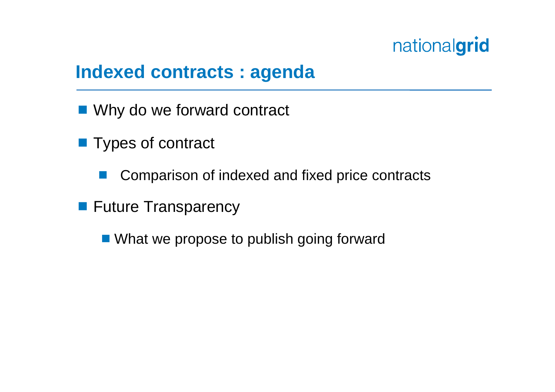#### **Indexed contracts : agenda**

- Why do we forward contract
- **Types of contract** 
	- Comparison of indexed and fixed price contracts
- **Future Transparency** 
	- What we propose to publish going forward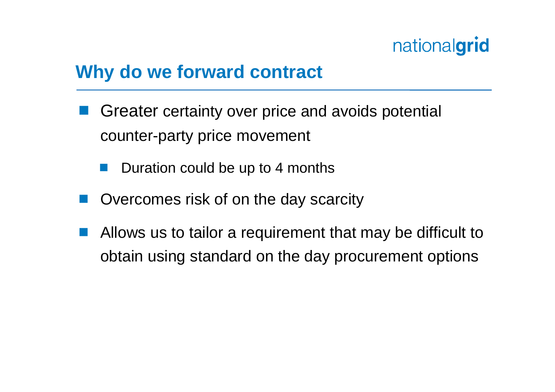#### **Why do we forward contract**

- Greater certainty over price and avoids potential counter-party price movement
	- Duration could be up to 4 months
- Overcomes risk of on the day scarcity
- Allows us to tailor a requirement that may be difficult to obtain using standard on the day procurement options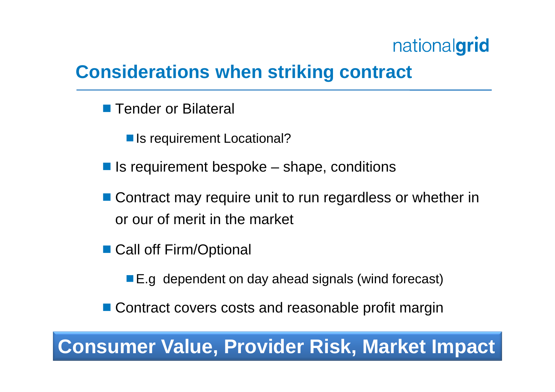#### **Considerations when striking contract**

- Tender or Bilateral
	- Is requirement Locational?
- $\blacksquare$  Is requirement bespoke shape, conditions
- Contract may require unit to run regardless or whether in or our of merit in the market
- Call off Firm/Optional
	- E.g dependent on day ahead signals (wind forecast)
- Contract covers costs and reasonable profit margin

#### **Consumer Value, Provider Risk, Market Impact**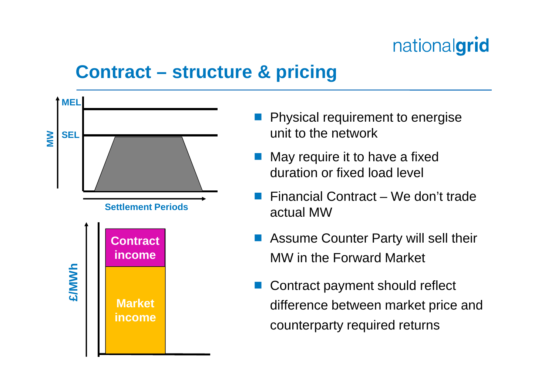#### **Contract – structure & pricing**



- Physical requirement to energise unit to the network
- May require it to have a fixed duration or fixed load level
- Financial Contract We don't trade actual MW
- Assume Counter Party will sell their MW in the Forward Market
- Contract payment should reflect difference between market price and counterparty required returns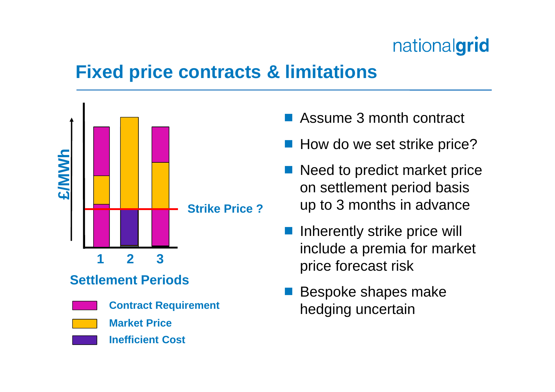#### **Fixed price contracts & limitations**



- Assume 3 month contract
- **How do we set strike price?**
- Need to predict market price on settlement period basis up to 3 months in advance
- Inherently strike price will include a premia for market price forecast risk
- Bespoke shapes make hedging uncertain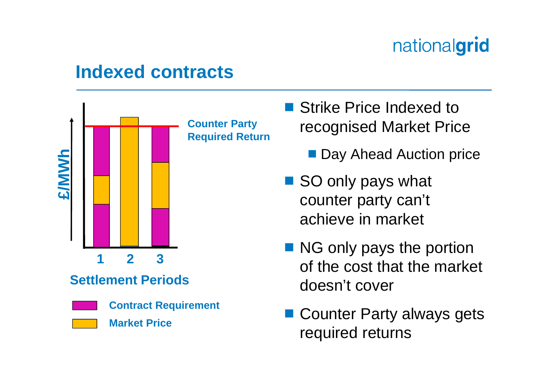#### **Indexed contracts**



- Strike Price Indexed to recognised Market Price
	- **Day Ahead Auction price**
- SO only pays what counter party can't achieve in market
- NG only pays the portion of the cost that the market doesn't cover
- Counter Party always gets required returns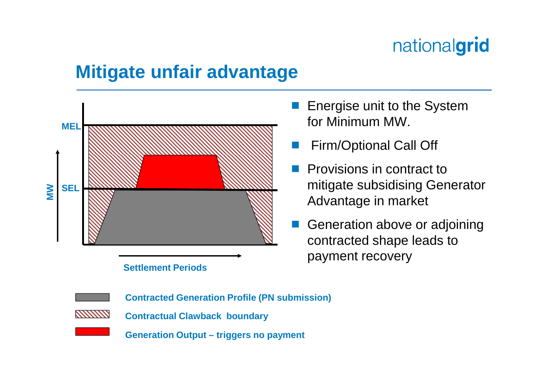#### **Mitigate unfair advantage**



#### **Settlement Periods**

- Energise unit to the System for Minimum MW.
- Firm/Optional Call Off
- **Provisions in contract to** mitigate subsidising Generator Advantage in market
- Generation above or adjoining contracted shape leads to payment recovery



**Generation Output – triggers no payment**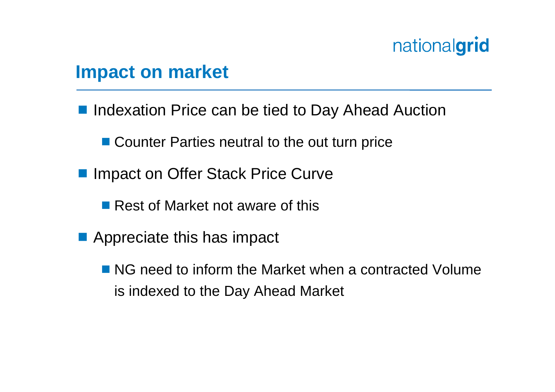#### **Impact on market**

**Indexation Price can be tied to Day Ahead Auction** 

■ Counter Parties neutral to the out turn price

- Impact on Offer Stack Price Curve
	- Rest of Market not aware of this
- **Appreciate this has impact** 
	- NG need to inform the Market when a contracted Volume is indexed to the Day Ahead Market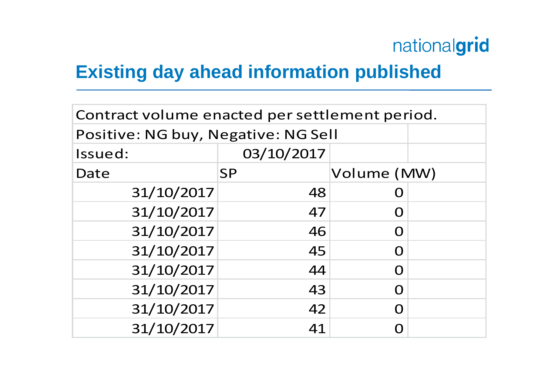#### **Existing day ahead information published**

| Contract volume enacted per settlement period. |            |                   |  |  |
|------------------------------------------------|------------|-------------------|--|--|
| Positive: NG buy, Negative: NG Sell            |            |                   |  |  |
| Issued:                                        | 03/10/2017 |                   |  |  |
| Date                                           | <b>SP</b>  | Volume (MW)       |  |  |
| 31/10/2017                                     | 48         |                   |  |  |
| 31/10/2017                                     | 47         | $\mathbf{\Omega}$ |  |  |
| 31/10/2017                                     | 46         |                   |  |  |
| 31/10/2017                                     | 45         |                   |  |  |
| 31/10/2017                                     | 44         | O                 |  |  |
| 31/10/2017                                     | 43         |                   |  |  |
| 31/10/2017                                     | 42         |                   |  |  |
| 31/10/2017                                     | 41         |                   |  |  |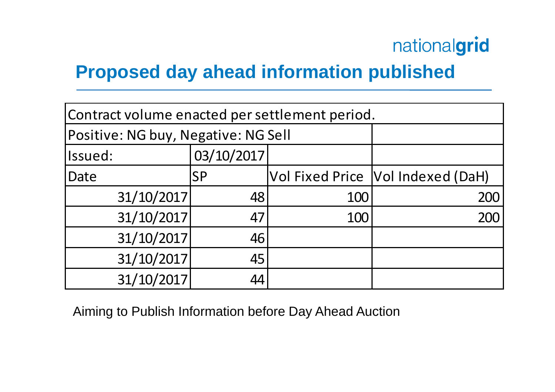#### **Proposed day ahead information published**

| Contract volume enacted per settlement period. |            |     |                                     |  |
|------------------------------------------------|------------|-----|-------------------------------------|--|
| Positive: NG buy, Negative: NG Sell            |            |     |                                     |  |
| Issued:                                        | 03/10/2017 |     |                                     |  |
| Date                                           | <b>SP</b>  |     | Vol Fixed Price   Vol Indexed (DaH) |  |
| 31/10/2017                                     | 48         | 100 | 200                                 |  |
| 31/10/2017                                     | 47         | 100 | 200                                 |  |
| 31/10/2017                                     | 46         |     |                                     |  |
| 31/10/2017                                     | 45         |     |                                     |  |
| 31/10/2017                                     | 44         |     |                                     |  |

Aiming to Publish Information before Day Ahead Auction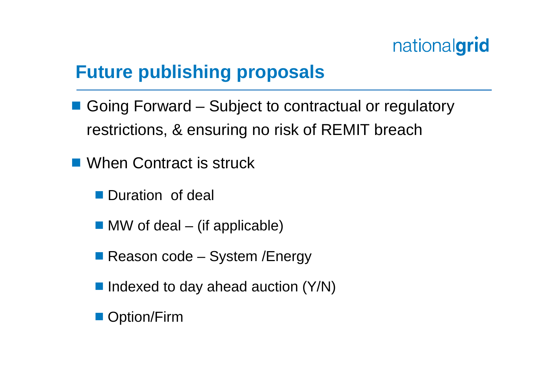#### **Future publishing proposals**

- Going Forward Subject to contractual or regulatory restrictions, & ensuring no risk of REMIT breach
- When Contract is struck
	- **Duration of deal**
	- $\blacksquare$  MW of deal (if applicable)
	- Reason code System / Energy
	- $\blacksquare$  Indexed to day ahead auction (Y/N)
	- Option/Firm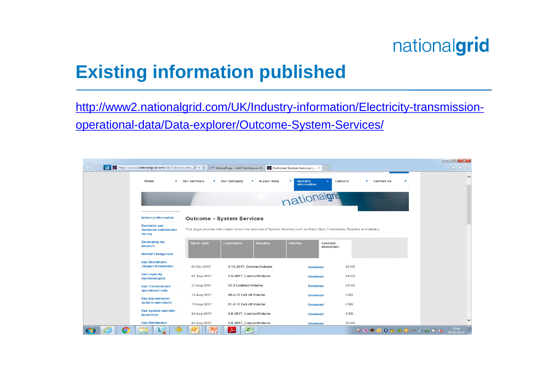### **Existing information published**

http://www2.nationalgrid.com/UK/Industry-information/Electricity-transmissionoperational-data/Data-explorer/Outcome-System-Services/

| mil <b>2</b> http://www2.nationalgrid.com/UK/Industry-info ρ v で    zzy HomePage - SAP NetWeaver P 2 Outcome System Services    × |                           |                                                                                                                              |                                           |                                        | 命众發                 |
|-----------------------------------------------------------------------------------------------------------------------------------|---------------------------|------------------------------------------------------------------------------------------------------------------------------|-------------------------------------------|----------------------------------------|---------------------|
| Home<br>×.                                                                                                                        | <b>Our services</b><br>Þ. | Our company<br>$\blacktriangleright$ In your area                                                                            | <b>Industry</b><br>×<br>٠<br>information  | Careers<br>$\triangleright$ Contact us | $\hat{}$            |
|                                                                                                                                   |                           |                                                                                                                              | nationalgriq                              |                                        |                     |
| <b>Industry information</b>                                                                                                       |                           | <b>Outcome - System Services</b>                                                                                             |                                           |                                        |                     |
| <b>Domestic gas</b><br>customer satisfaction<br>survey                                                                            |                           | This page provides information about the outcome of System Services such as Black Start, Constraints, Reactive and Intertrip |                                           |                                        |                     |
| <b>Developing our</b><br>network                                                                                                  | <b>Black Start</b>        | <b>Constraints</b><br>Reactive                                                                                               | Intertrip<br><b>Contract</b><br>enactment |                                        |                     |
| <b>Market Change Gas</b>                                                                                                          |                           |                                                                                                                              |                                           |                                        |                     |
| <b>Gas Distribution</b><br><b>Shipper information</b>                                                                             | 03 Oct 2017               | 3-10-2017_ContractVolume                                                                                                     | <b>Download</b>                           | <b>24 KB</b>                           |                     |
| <b>Gas capacity</b><br>methodologies                                                                                              | 07 Sep 2017               | 7-9-2017 ContractVolume                                                                                                      | <b>Download</b>                           | <b>24 KB</b>                           |                     |
| <b>Gas Transmission</b><br>operational data                                                                                       | 22 Aug 2017               | <b>22-8 Contract Volume</b>                                                                                                  | <b>Download</b>                           | <b>24 KB</b>                           |                     |
| <b>Gas transmission</b>                                                                                                           | 18 Aug 2017               | 18-8-17 Call off Volume                                                                                                      | <b>Download</b>                           | $2$ KB                                 |                     |
| system operations                                                                                                                 | <b>11 Aug 2017</b>        | 11-8-17 Call off Volume                                                                                                      | <b>Download</b>                           | 7 KB                                   |                     |
| <b>Gas system operator</b><br><b>incentives</b>                                                                                   | 04 Aug 2017               | 4-8-2017_ContractVolume                                                                                                      | <b>Download</b>                           | $2$ KB                                 |                     |
| <b>Gas Distribution</b>                                                                                                           | 02 Aug 2017               | 2-8-2017_ContractVolume                                                                                                      | <b>Download</b>                           | <b>23 KB</b>                           | $\checkmark$        |
| $\overline{\mathbf{O}}$<br>$\bullet$                                                                                              |                           | 25<br>≻                                                                                                                      |                                           | VNO088GODOWF6                          | 11:44<br>04/10/2017 |